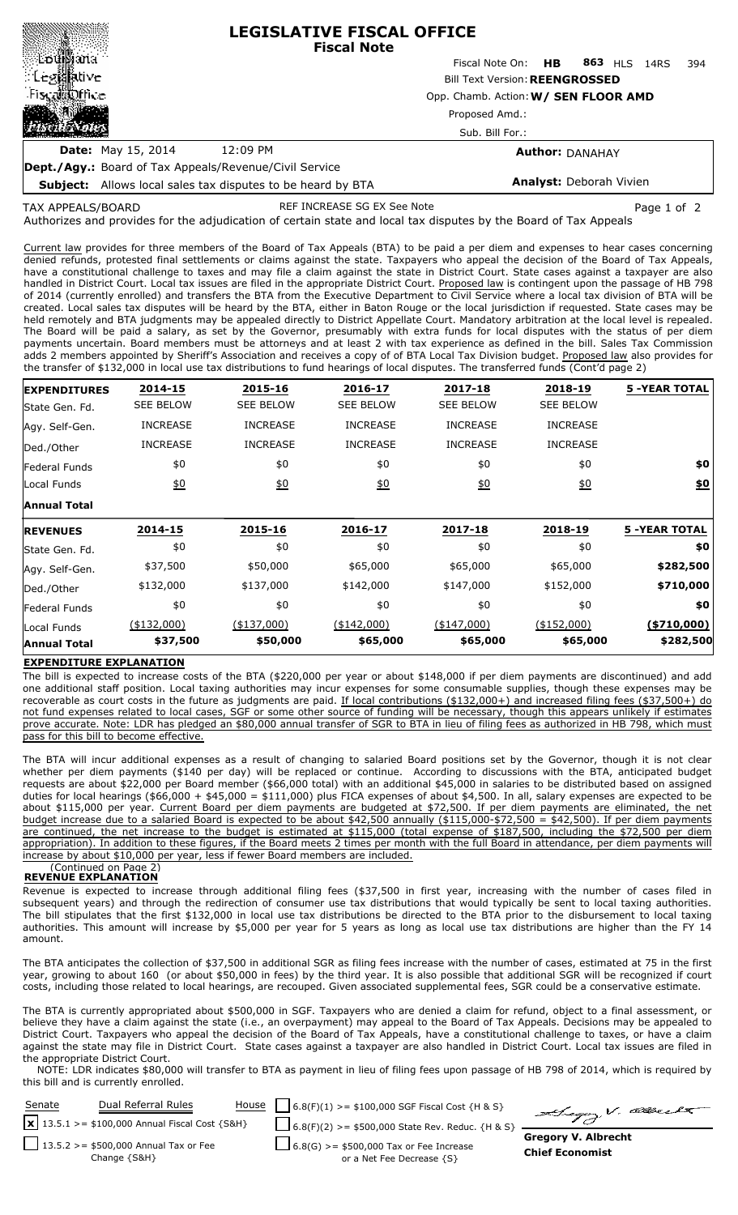|                           | <b>LEGISLATIVE FISCAL OFFICE</b><br><b>Fiscal Note</b> |                                 |  |  |  |       |  |
|---------------------------|--------------------------------------------------------|---------------------------------|--|--|--|-------|--|
|                           |                                                        | Fiscal Note On: HB 863 HLS 14RS |  |  |  | - 394 |  |
|                           | <b>Bill Text Version: REENGROSSED</b>                  |                                 |  |  |  |       |  |
| <b>Fiscal Office</b>      | Opp. Chamb. Action: W/ SEN FLOOR AMD                   |                                 |  |  |  |       |  |
| 出版                        | Proposed Amd.:                                         |                                 |  |  |  |       |  |
|                           |                                                        | Sub. Bill For.:                 |  |  |  |       |  |
| <b>Date:</b> May 15, 2014 | 12:09 PM                                               | <b>Author: DANAHAY</b>          |  |  |  |       |  |
|                           |                                                        |                                 |  |  |  |       |  |

**Dept./Agy.:** Board of Tax Appeals/Revenue/Civil Service **Subject:** Allows local sales tax disputes to be heard by BTA

# **Analyst:** Deborah Vivien

TAX APPEALS/BOARD

REF INCREASE SG EX See Note **Page 1 of 2** and 2

Authorizes and provides for the adjudication of certain state and local tax disputes by the Board of Tax Appeals

Current law provides for three members of the Board of Tax Appeals (BTA) to be paid a per diem and expenses to hear cases concerning denied refunds, protested final settlements or claims against the state. Taxpayers who appeal the decision of the Board of Tax Appeals, have a constitutional challenge to taxes and may file a claim against the state in District Court. State cases against a taxpayer are also handled in District Court. Local tax issues are filed in the appropriate District Court. Proposed law is contingent upon the passage of HB 798 of 2014 (currently enrolled) and transfers the BTA from the Executive Department to Civil Service where a local tax division of BTA will be created. Local sales tax disputes will be heard by the BTA, either in Baton Rouge or the local jurisdiction if requested. State cases may be held remotely and BTA judgments may be appealed directly to District Appellate Court. Mandatory arbitration at the local level is repealed. The Board will be paid a salary, as set by the Governor, presumably with extra funds for local disputes with the status of per diem payments uncertain. Board members must be attorneys and at least 2 with tax experience as defined in the bill. Sales Tax Commission adds 2 members appointed by Sheriff's Association and receives a copy of of BTA Local Tax Division budget. Proposed law also provides for the transfer of \$132,000 in local use tax distributions to fund hearings of local disputes. The transferred funds (Cont'd page 2)

| <b>EXPENDITURES</b> | 2014-15          | 2015-16          | 2016-17          | 2017-18          | 2018-19          | <b>5 -YEAR TOTAL</b> |
|---------------------|------------------|------------------|------------------|------------------|------------------|----------------------|
| State Gen. Fd.      | <b>SEE BELOW</b> | <b>SEE BELOW</b> | <b>SEE BELOW</b> | <b>SEE BELOW</b> | <b>SEE BELOW</b> |                      |
| Agy. Self-Gen.      | <b>INCREASE</b>  | <b>INCREASE</b>  | <b>INCREASE</b>  | <b>INCREASE</b>  | <b>INCREASE</b>  |                      |
| Ded./Other          | <b>INCREASE</b>  | <b>INCREASE</b>  | <b>INCREASE</b>  | <b>INCREASE</b>  | <b>INCREASE</b>  |                      |
| Federal Funds       | \$0              | \$0              | \$0              | \$0              | \$0              | \$0                  |
| Local Funds         | 60               | 60               | 60               | 60               | $\underline{40}$ | \$0                  |
| <b>Annual Total</b> |                  |                  |                  |                  |                  |                      |
| <b>REVENUES</b>     | 2014-15          | 2015-16          | 2016-17          | 2017-18          | 2018-19          | <b>5 -YEAR TOTAL</b> |
| State Gen. Fd.      | \$0              | \$0              | \$0              | \$0              | \$0              | \$0                  |
| Agy. Self-Gen.      | \$37,500         | \$50,000         | \$65,000         | \$65,000         | \$65,000         | \$282,500            |
| Ded./Other          | \$132,000        | \$137,000        | \$142,000        | \$147,000        | \$152,000        | \$710,000            |
| Federal Funds       | \$0              | \$0              | \$0              | \$0              | \$0              | \$0                  |
| Local Funds         | (\$132,000)      | $(*137,000)$     | $(*142,000)$     | (\$147,000)      | (\$152,000)      | ( \$710,000]         |
| <b>Annual Total</b> | \$37,500         | \$50,000         | \$65,000         | \$65,000         | \$65,000         | \$282,500            |

## **EXPENDITURE EXPLANATION**

The bill is expected to increase costs of the BTA (\$220,000 per year or about \$148,000 if per diem payments are discontinued) and add one additional staff position. Local taxing authorities may incur expenses for some consumable supplies, though these expenses may be recoverable as court costs in the future as judgments are paid. If local contributions (\$132,000+) and increased filing fees (\$37,500+) do not fund expenses related to local cases, SGF or some other source of funding will be necessary, though this appears unlikely if estimates prove accurate. Note: LDR has pledged an \$80,000 annual transfer of SGR to BTA in lieu of filing fees as authorized in HB 798, which must pass for this bill to become effective.

The BTA will incur additional expenses as a result of changing to salaried Board positions set by the Governor, though it is not clear whether per diem payments (\$140 per day) will be replaced or continue. According to discussions with the BTA, anticipated budget requests are about \$22,000 per Board member (\$66,000 total) with an additional \$45,000 in salaries to be distributed based on assigned duties for local hearings (\$66,000 + \$45,000 = \$111,000) plus FICA expenses of about \$4,500. In all, salary expenses are expected to be about \$115,000 per year. Current Board per diem payments are budgeted at \$72,500. If per diem payments are eliminated, the net budget increase due to a salaried Board is expected to be about \$42,500 annually (\$115,000-\$72,500 = \$42,500). If per diem payments are continued, the net increase to the budget is estimated at \$115,000 (total expense of \$187,500, including the \$72,500 per diem appropriation). In addition to these figures, if the Board meets 2 times per month with the full Board in attendance, per diem payments will increase by about \$10,000 per year, less if fewer Board members are included.

#### (Continued on Page 2) **REVENUE EXPLANATION**

Revenue is expected to increase through additional filing fees (\$37,500 in first year, increasing with the number of cases filed in subsequent years) and through the redirection of consumer use tax distributions that would typically be sent to local taxing authorities. The bill stipulates that the first \$132,000 in local use tax distributions be directed to the BTA prior to the disbursement to local taxing authorities. This amount will increase by \$5,000 per year for 5 years as long as local use tax distributions are higher than the FY 14 amount.

The BTA anticipates the collection of \$37,500 in additional SGR as filing fees increase with the number of cases, estimated at 75 in the first year, growing to about 160 (or about \$50,000 in fees) by the third year. It is also possible that additional SGR will be recognized if court costs, including those related to local hearings, are recouped. Given associated supplemental fees, SGR could be a conservative estimate.

The BTA is currently appropriated about \$500,000 in SGF. Taxpayers who are denied a claim for refund, object to a final assessment, or believe they have a claim against the state (i.e., an overpayment) may appeal to the Board of Tax Appeals. Decisions may be appealed to District Court. Taxpayers who appeal the decision of the Board of Tax Appeals, have a constitutional challenge to taxes, or have a claim against the state may file in District Court. State cases against a taxpayer are also handled in District Court. Local tax issues are filed in the appropriate District Court.

NOTE: LDR indicates \$80,000 will transfer to BTA as payment in lieu of filing fees upon passage of HB 798 of 2014, which is required by this bill and is currently enrolled.